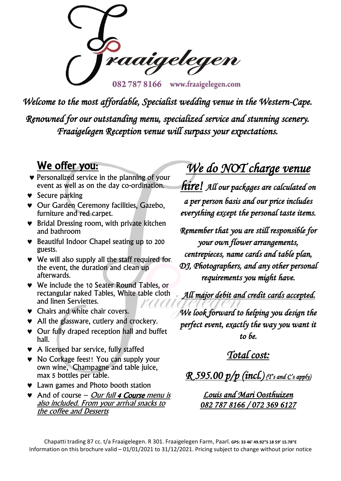raaigelegen 0827878166 www.fraaigelegen.com

*Welcome to the most affordable, Specialist wedding venue in the Western-Cape. Renowned for our outstanding menu, specialized service and stunning scenery. Fraaigelegen Reception venue will surpass your expectations.* 

# We offer you:

- **•** Personalized service in the planning of your event as well as on the day co-ordination.
- $\bullet$  Secure parking
- Our Garden Ceremony facilities, Gazebo, furniture and red carpet.
- **▼** Bridal Dressing room, with private kitchen and bathroom
- Beautiful Indoor Chapel seating up to 200 guests.
- We will also supply all the staff required for the event, the duration and clean up afterwards.
- We include the 10 Seater Round Tables, or rectangular naked Tables, White table cloth and linen Serviettes.
- **v** Chairs and white chair covers.
- All the glassware, cutlery and crockery.
- Our fully draped reception hall and buffet hall.
- A licensed bar service, fully staffed
- No Corkage fees!! You can supply your own wine, Champagne and table juice, max 5 bottles per table.
- Lawn games and Photo booth station
- $\bullet$  And of course Our full 4 Course menu is also included. From your arrival snacks to the coffee and Desserts

# *We do NOT charge venue*

*hire! All our packages are calculated on a per person basis and our price includes everything except the personal taste items.* 

*Remember that you are still responsible for your own flower arrangements, centrepieces, name cards and table plan, DJ, Photographers, and any other personal requirements you might have.* 

 *All major debit and credit cards accepted.* 

*We look forward to helping you design the perfect event, exactly the way you want it to be.* 

*Total cost:* 

*R 595.00 p/p (incl.) (T's and C's apply)* 

*Louis and Mari Oosthuizen 082 787 8166 / 072 369 6127* 

Chapatti trading 87 cc. t/a Fraaigelegen. R 301. Fraaigelegen Farm, Paarl. **GPS: 33 46' 49.92"S 18 59' 15.78"E** Information on this brochure valid – 01/01/2021 to 31/12/2021. Pricing subject to change without prior notice